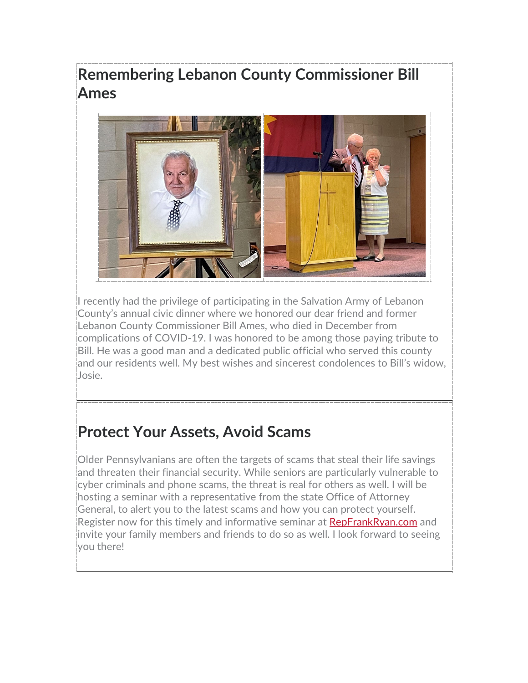# **Remembering Lebanon County Commissioner Bill Ames**



I recently had the privilege of participating in the Salvation Army of Lebanon County's annual civic dinner where we honored our dear friend and former Lebanon County Commissioner Bill Ames, who died in December from complications of COVID-19. I was honored to be among those paying tribute to Bill. He was a good man and a dedicated public official who served this county and our residents well. My best wishes and sincerest condolences to Bill's widow, Josie.

# **Protect Your Assets, Avoid Scams**

Older Pennsylvanians are often the targets of scams that steal their life savings and threaten their financial security. While seniors are particularly vulnerable to cyber criminals and phone scams, the threat is real for others as well. I will be hosting a seminar with a representative from the state Office of Attorney General, to alert you to the latest scams and how you can protect yourself. Register now for this timely and informative seminar at [RepFrankRyan.com](https://www.repfrankryan.com/) and invite your family members and friends to do so as well. I look forward to seeing you there!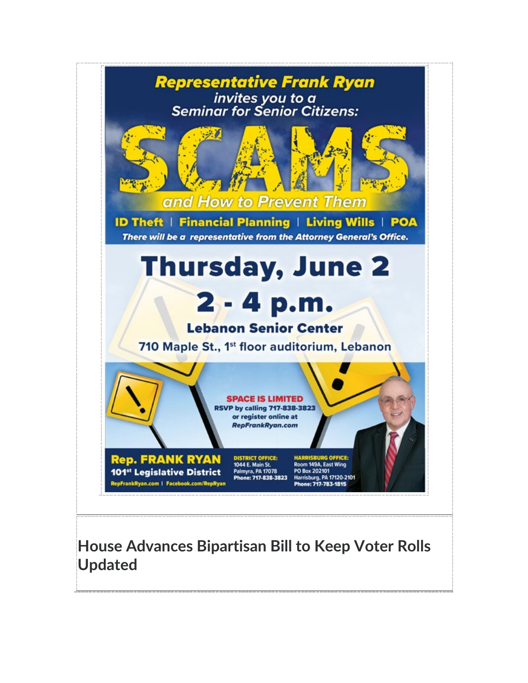

#### **House Advances Bipartisan Bill to Keep Voter Rolls Updated**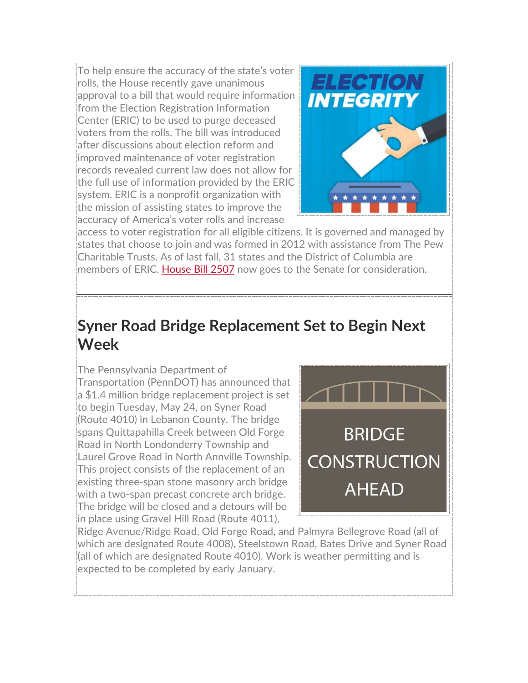To help ensure the accuracy of the state's voter rolls, the House recently gave unanimous approval to a bill that would require information from the Election Registration Information Center (ERIC) to be used to purge deceased voters from the rolls. The bill was introduced after discussions about election reform and improved maintenance of voter registration records revealed current law does not allow for the full use of information provided by the ERIC system. ERIC is a nonprofit organization with the mission of assisting states to improve the accuracy of America's voter rolls and increase



access to voter registration for all eligible citizens. It is governed and managed by states that choose to join and was formed in 2012 with assistance from The Pew Charitable Trusts. As of last fall, 31 states and the District of Columbia are members of ERIC. [House Bill 2507](https://www.legis.state.pa.us/cfdocs/billInfo/billInfo.cfm?sYear=2021&sInd=0&body=H&type=B&bn=2507) now goes to the Senate for consideration.

### **Syner Road Bridge Replacement Set to Begin Next Week**

The Pennsylvania Department of Transportation (PennDOT) has announced that a \$1.4 million bridge replacement project is set to begin Tuesday, May 24, on Syner Road (Route 4010) in Lebanon County. The bridge spans Quittapahilla Creek between Old Forge Road in North Londonderry Township and Laurel Grove Road in North Annville Township. This project consists of the replacement of an existing three-span stone masonry arch bridge with a two-span precast concrete arch bridge. The bridge will be closed and a detours will be in place using Gravel Hill Road (Route 4011),



Ridge Avenue/Ridge Road, Old Forge Road, and Palmyra Bellegrove Road (all of which are designated Route 4008), Steelstown Road, Bates Drive and Syner Road (all of which are designated Route 4010). Work is weather permitting and is expected to be completed by early January.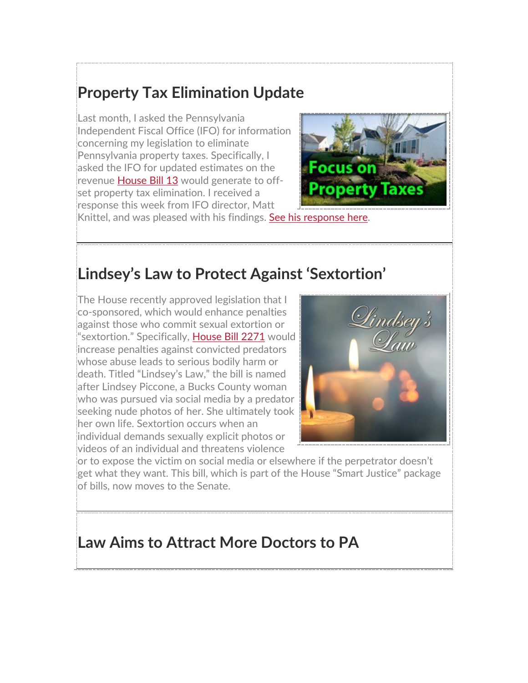## **Property Tax Elimination Update**

Last month, I asked the Pennsylvania Independent Fiscal Office (IFO) for information concerning my legislation to eliminate Pennsylvania property taxes. Specifically, I asked the IFO for updated estimates on the revenue [House Bill 13](https://www.legis.state.pa.us/cfdocs/billInfo/billInfo.cfm?sYear=2021&sInd=0&body=H&type=B&bn=0013) would generate to offset property tax elimination. I received a response this week from IFO director, Matt



Knittel, and was pleased with his findings. [See his response here.](https://www.repfrankryan.com/Display/SiteFiles/390/OtherDocuments/2022/IFO_Response_Letter_May_16_2022.pdf)

#### **Lindsey's Law to Protect Against 'Sextortion'**

The House recently approved legislation that I co-sponsored, which would enhance penalties against those who commit sexual extortion or "sextortion." Specifically, [House Bill 2271](https://www.legis.state.pa.us/cfdocs/billInfo/billInfo.cfm?sYear=2021&sInd=0&body=H&type=B&bn=2271) would increase penalties against convicted predators whose abuse leads to serious bodily harm or death. Titled "Lindsey's Law," the bill is named after Lindsey Piccone, a Bucks County woman who was pursued via social media by a predator seeking nude photos of her. She ultimately took her own life. Sextortion occurs when an individual demands sexually explicit photos or videos of an individual and threatens violence



or to expose the victim on social media or elsewhere if the perpetrator doesn't get what they want. This bill, which is part of the House "Smart Justice" package of bills, now moves to the Senate.

#### **Law Aims to Attract More Doctors to PA**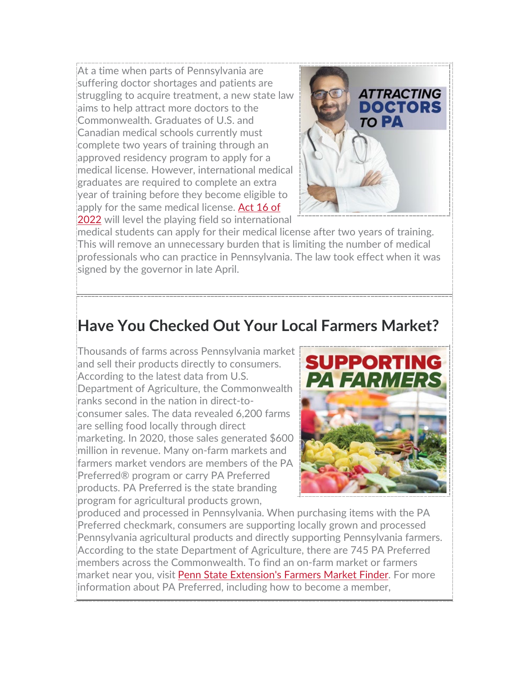At a time when parts of Pennsylvania are suffering doctor shortages and patients are struggling to acquire treatment, a new state law aims to help attract more doctors to the Commonwealth. Graduates of U.S. and Canadian medical schools currently must complete two years of training through an approved residency program to apply for a medical license. However, international medical graduates are required to complete an extra year of training before they become eligible to apply for the same medical license. Act 16 of [2022](https://www.legis.state.pa.us/cfdocs/billinfo/billinfo.cfm?syear=2021&sind=0&body=H&type=B&bn=0245) will level the playing field so international



medical students can apply for their medical license after two years of training. This will remove an unnecessary burden that is limiting the number of medical professionals who can practice in Pennsylvania. The law took effect when it was signed by the governor in late April.

### **Have You Checked Out Your Local Farmers Market?**

Thousands of farms across Pennsylvania market and sell their products directly to consumers. According to the latest data from U.S. Department of Agriculture, the Commonwealth ranks second in the nation in direct-toconsumer sales. The data revealed 6,200 farms are selling food locally through direct marketing. In 2020, those sales generated \$600 million in revenue. Many on-farm markets and farmers market vendors are members of the PA Preferred® program or carry PA Preferred products. PA Preferred is the state branding program for agricultural products grown,



produced and processed in Pennsylvania. When purchasing items with the PA Preferred checkmark, consumers are supporting locally grown and processed Pennsylvania agricultural products and directly supporting Pennsylvania farmers. According to the state Department of Agriculture, there are 745 PA Preferred members across the Commonwealth. To find an on-farm market or farmers market near you, visit [Penn State Extension's Farmers Market Finder.](https://extension.psu.edu/farm-market-finder) For more information about PA Preferred, including how to become a member,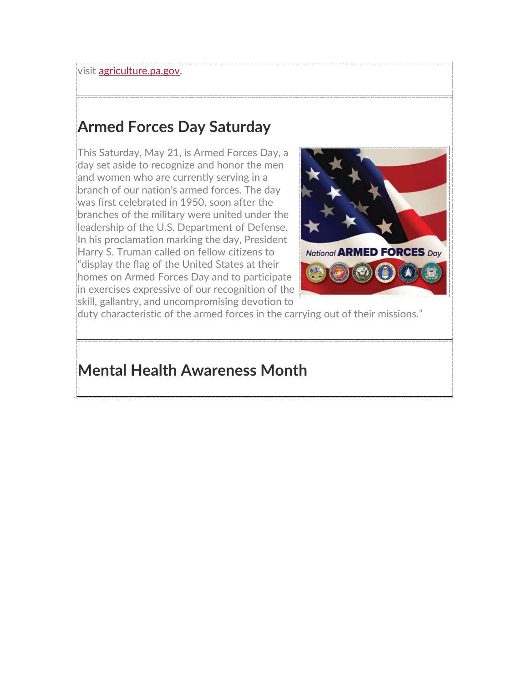visit [agriculture.pa.gov.](https://www.agriculture.pa.gov/Pages/default.aspx)

# **Armed Forces Day Saturday**

This Saturday, May 21, is Armed Forces Day, a day set aside to recognize and honor the men and women who are currently serving in a branch of our nation's armed forces. The day was first celebrated in 1950, soon after the branches of the military were united under the leadership of the U.S. Department of Defense. In his proclamation marking the day, President Harry S. Truman called on fellow citizens to "display the flag of the United States at their homes on Armed Forces Day and to participate in exercises expressive of our recognition of the skill, gallantry, and uncompromising devotion to



duty characteristic of the armed forces in the carrying out of their missions."

#### **Mental Health Awareness Month**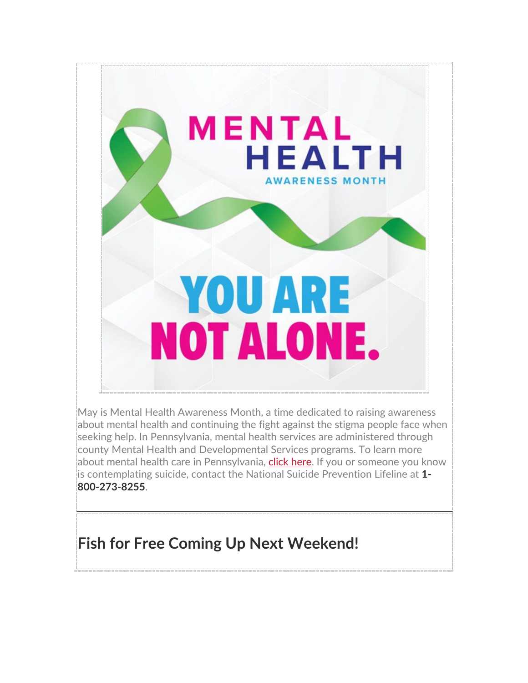

May is Mental Health Awareness Month, a time dedicated to raising awareness about mental health and continuing the fight against the stigma people face when seeking help. In Pennsylvania, mental health services are administered through county Mental Health and Developmental Services programs. To learn more about mental health care in Pennsylvania, [click here.](https://www.dhs.pa.gov/Services/Mental-Health-In-PA/Pages/OMHSAS-Information.aspx) If you or someone you know is contemplating suicide, contact the National Suicide Prevention Lifeline at **1- 800-273-8255**.

# **Fish for Free Coming Up Next Weekend!**